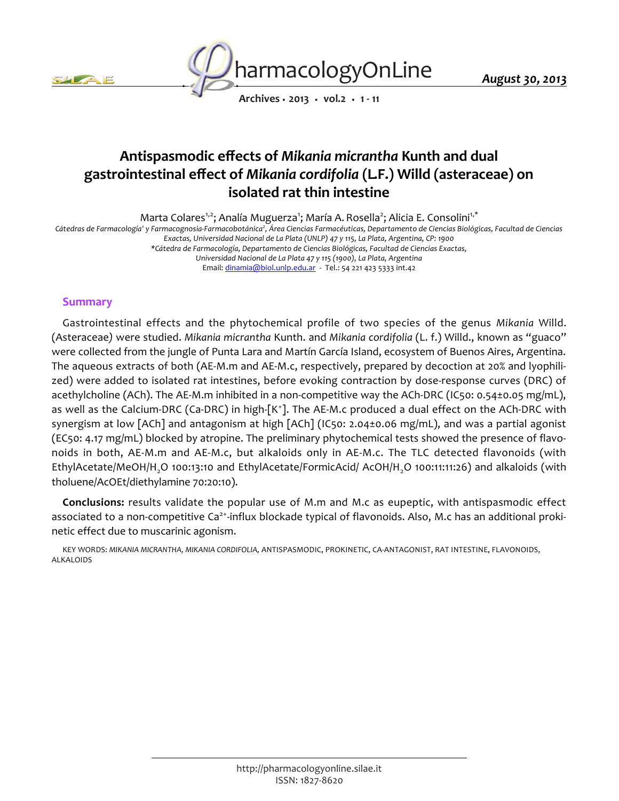



*Archives • 2013 • vol.2 • 1 - 11*

# *Antispasmodic effects of Mikania micrantha Kunth and dual gastrointestinal effect of Mikania cordifolia (L.F.) Willd (asteraceae) on isolated rat thin intestine*

*Marta Colares1,2; Analía Muguerza<sup>1</sup> ; María A. Rosella<sup>2</sup> ; Alicia E. Consolini1,\** Cátedras de Farmacología<sup></sup> y Farmacognosia-Farmacobotánica<sup>2</sup>, Área Ciencias Farmacéuticas, Departamento de Ciencias Biológicas, Facultad de Ciencias *Exactas, Universidad Nacional de La Plata (UNLP) 47 y 115, La Plata, Argentina, CP: 1900 \*Cátedra de Farmacología, Departamento de Ciencias Biológicas, Facultad de Ciencias Exactas, Universidad Nacional de La Plata 47 y 115 (1900), La Plata, Argentina Email: dinamia@biol.unlp.edu.ar - Tel.: 54 221 423 5333 int.42*

# *Summary*

*Gastrointestinal effects and the phytochemical profile of two species of the genus Mikania Willd. (Asteraceae) were studied. Mikania micrantha Kunth. and Mikania cordifolia (L. f.) Willd., known as "guaco" were collected from the jungle of Punta Lara and Martín García Island, ecosystem of Buenos Aires, Argentina. The aqueous extracts of both (AE-M.m and AE-M.c, respectively, prepared by decoction at 20% and lyophilized) were added to isolated rat intestines, before evoking contraction by dose-response curves (DRC) of acethylcholine (ACh). The AE-M.m inhibited in a non-competitive way the ACh-DRC (IC50: 0.54±0.05 mg/mL), as well as the Calcium-DRC (Ca-DRC) in high-[K<sup>+</sup> ]. The AE-M.c produced a dual effect on the ACh-DRC with synergism at low [ACh] and antagonism at high [ACh] (IC50: 2.04±0.06 mg/mL), and was a partial agonist (EC50: 4.17 mg/mL) blocked by atropine. The preliminary phytochemical tests showed the presence of flavonoids in both, AE-M.m and AE-M.c, but alkaloids only in AE-M.c. The TLC detected flavonoids (with EthylAcetate/MeOH/H2O 100:13:10 and EthylAcetate/FormicAcid/ AcOH/H2O 100:11:11:26) and alkaloids (with tholuene/AcOEt/diethylamine 70:20:10).*

*Conclusions: results validate the popular use of M.m and M.c as eupeptic, with antispasmodic effect associated to a non-competitive Ca2+-influx blockade typical of flavonoids. Also, M.c has an additional prokinetic effect due to muscarinic agonism.*

*KEY WORDS: MIKANIA MICRANTHA, MIKANIA CORDIFOLIA, ANTISPASMODIC, PROKINETIC, CA-ANTAGONIST, RAT INTESTINE, FLAVONOIDS, ALKALOIDS*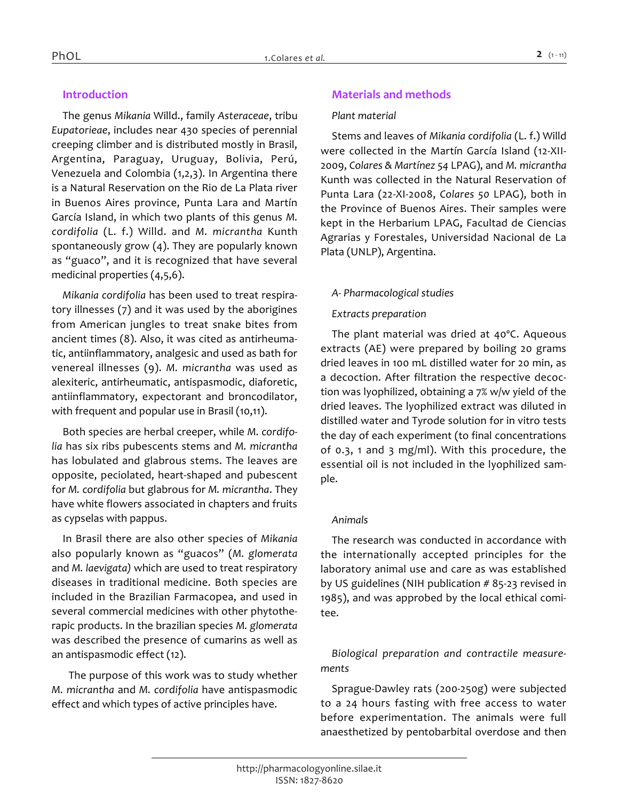# *Introduction*

*The genus Mikania Willd., family Asteraceae, tribu Eupatorieae, includes near 430 species of perennial creeping climber and is distributed mostly in Brasil, Argentina, Paraguay, Uruguay, Bolivia, Perú, Venezuela and Colombia (1,2,3). In Argentina there is a Natural Reservation on the Rio de La Plata river in Buenos Aires province, Punta Lara and Martín García Island, in which two plants of this genus M. cordifolia (L. f.) Willd. and M. micrantha Kunth spontaneously grow (4). They are popularly known as "guaco", and it is recognized that have several medicinal properties (4,5,6).*

*Mikania cordifolia has been used to treat respiratory illnesses (7) and it was used by the aborigines from American jungles to treat snake bites from ancient times (8). Also, it was cited as antirheumatic, antiinflammatory, analgesic and used as bath for venereal illnesses (9). M. micrantha was used as alexiteric, antirheumatic, antispasmodic, diaforetic, antiinflammatory, expectorant and broncodilator, with frequent and popular use in Brasil (10,11).*

*Both species are herbal creeper, while M. cordifolia has six ribs pubescents stems and M. micrantha has lobulated and glabrous stems. The leaves are opposite, peciolated, heart-shaped and pubescent for M. cordifolia but glabrous for M. micrantha. They have white flowers associated in chapters and fruits as cypselas with pappus.*

*In Brasil there are also other species of Mikania also popularly known as "guacos" (M. glomerata and M. laevigata) which are used to treat respiratory diseases in traditional medicine. Both species are included in the Brazilian Farmacopea, and used in several commercial medicines with other phytotherapic products. In the brazilian species M. glomerata was described the presence of cumarins as well as an antispasmodic effect (12).*

*The purpose of this work was to study whether M. micrantha and M. cordifolia have antispasmodic effect and which types of active principles have.*

# *Materials and methods*

#### *Plant material*

*Stems and leaves of Mikania cordifolia (L. f.) Willd were collected in the Martín García Island (12-XII-2009, Colares & Martínez 54 LPAG), and M. micrantha Kunth was collected in the Natural Reservation of Punta Lara (22-XI-2008, Colares 50 LPAG), both in the Province of Buenos Aires. Their samples were kept in the Herbarium LPAG, Facultad de Ciencias Agrarias y Forestales, Universidad Nacional de La Plata (UNLP), Argentina.*

# *A- Pharmacological studies*

# *Extracts preparation*

*The plant material was dried at 40ºC. Aqueous extracts (AE) were prepared by boiling 20 grams dried leaves in 100 mL distilled water for 20 min, as a decoction. After filtration the respective decoction was lyophilized, obtaining a 7% w/w yield of the dried leaves. The lyophilized extract was diluted in distilled water and Tyrode solution for in vitro tests the day of each experiment (to final concentrations of 0.3, 1 and 3 mg/ml). With this procedure, the essential oil is not included in the lyophilized sample.*

# *Animals*

*The research was conducted in accordance with the internationally accepted principles for the laboratory animal use and care as was established by US guidelines (NIH publication # 85-23 revised in 1985), and was approbed by the local ethical comitee.*

*Biological preparation and contractile measurements*

*Sprague-Dawley rats (200-250g) were subjected to a 24 hours fasting with free access to water before experimentation. The animals were full anaesthetized by pentobarbital overdose and then*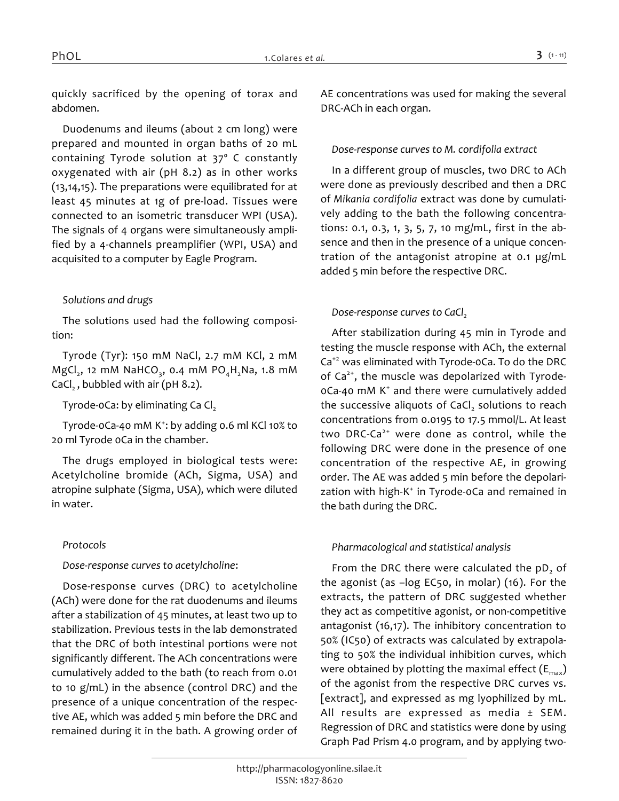*quickly sacrificed by the opening of torax and abdomen.*

*Duodenums and ileums (about 2 cm long) were prepared and mounted in organ baths of 20 mL containing Tyrode solution at 37º C constantly oxygenated with air (pH 8.2) as in other works (13,14,15). The preparations were equilibrated for at least 45 minutes at 1g of pre-load. Tissues were connected to an isometric transducer WPI (USA). The signals of 4 organs were simultaneously amplified by a 4-channels preamplifier (WPI, USA) and acquisited to a computer by Eagle Program.*

# *Solutions and drugs*

*The solutions used had the following composition:*

*Tyrode (Tyr): 150 mM NaCl, 2.7 mM KCl, 2 mM MgCl<sup>2</sup> , 12 mM NaHCO<sup>3</sup> , 0.4 mM PO4H2Na, 1.8 mM CaCl2 , bubbled with air (pH 8.2).*

*Tyrode-0Ca: by eliminating Ca Cl<sup>2</sup>*

*Tyrode-0Ca-40 mM K<sup>+</sup> : by adding 0.6 ml KCl 10% to 20 ml Tyrode 0Ca in the chamber.*

*The drugs employed in biological tests were: Acetylcholine bromide (ACh, Sigma, USA) and atropine sulphate (Sigma, USA), which were diluted in water.*

# *Protocols*

# *Dose-response curves to acetylcholine:*

*Dose-response curves (DRC) to acetylcholine (ACh) were done for the rat duodenums and ileums after a stabilization of 45 minutes, at least two up to stabilization. Previous tests in the lab demonstrated that the DRC of both intestinal portions were not significantly different. The ACh concentrations were cumulatively added to the bath (to reach from 0.01 to 10 g/mL) in the absence (control DRC) and the presence of a unique concentration of the respective AE, which was added 5 min before the DRC and remained during it in the bath. A growing order of*  *AE concentrations was used for making the several DRC-ACh in each organ.*

### *Dose-response curves to M. cordifolia extract*

*In a different group of muscles, two DRC to ACh were done as previously described and then a DRC of Mikania cordifolia extract was done by cumulatively adding to the bath the following concentrations: 0.1, 0.3, 1, 3, 5, 7, 10 mg/mL, first in the absence and then in the presence of a unique concentration of the antagonist atropine at 0.1 µg/mL added 5 min before the respective DRC.*

# *Dose-response curves to CaCl*<sup>2</sup>

*After stabilization during 45 min in Tyrode and testing the muscle response with ACh, the external Ca+2 was eliminated with Tyrode-0Ca. To do the DRC of Ca2+, the muscle was depolarized with Tyrode-0Ca-40 mM K<sup>+</sup> and there were cumulatively added the successive aliquots of CaCl<sup>2</sup> solutions to reach concentrations from 0.0195 to 17.5 mmol/L. At least two DRC-Ca2+ were done as control, while the following DRC were done in the presence of one concentration of the respective AE, in growing order. The AE was added 5 min before the depolari*zation with high-K<sup>+</sup> in Tyrode-oCa and remained in *the bath during the DRC.*

# *Pharmacological and statistical analysis*

*From the DRC there were calculated the pD<sup>2</sup> of the agonist (as –log EC50, in molar) (16). For the extracts, the pattern of DRC suggested whether they act as competitive agonist, or non-competitive antagonist (16,17). The inhibitory concentration to 50% (IC50) of extracts was calculated by extrapolating to 50% the individual inhibition curves, which were obtained by plotting the maximal effect (Emax) of the agonist from the respective DRC curves vs. [extract], and expressed as mg lyophilized by mL. All results are expressed as media ± SEM. Regression of DRC and statistics were done by using Graph Pad Prism 4.0 program, and by applying two-*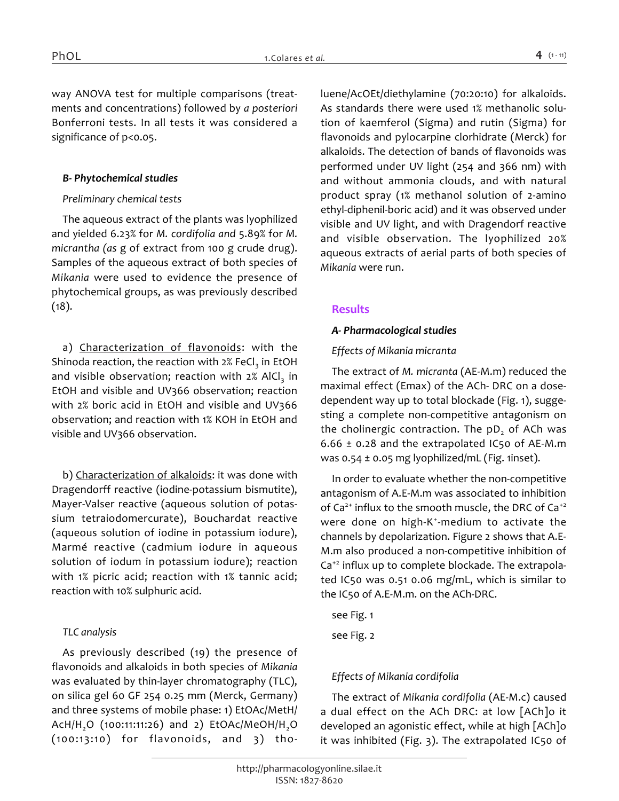*way ANOVA test for multiple comparisons (treatments and concentrations) followed by a posteriori Bonferroni tests. In all tests it was considered a significance of p<0.05.*

#### *B- Phytochemical studies*

#### *Preliminary chemical tests*

*The aqueous extract of the plants was lyophilized and yielded 6.23% for M. cordifolia and 5.89% for M. micrantha (as g of extract from 100 g crude drug). Samples of the aqueous extract of both species of Mikania were used to evidence the presence of phytochemical groups, as was previously described (18).*

*a) Characterization of flavonoids: with the Shinoda reaction, the reaction with 2% FeCl<sup>3</sup> in EtOH*  and visible observation; reaction with 2% AlCl<sub>3</sub> in *EtOH and visible and UV366 observation; reaction with 2% boric acid in EtOH and visible and UV366 observation; and reaction with 1% KOH in EtOH and visible and UV366 observation.*

*b) Characterization of alkaloids: it was done with Dragendorff reactive (iodine-potassium bismutite), Mayer-Valser reactive (aqueous solution of potassium tetraiodomercurate), Bouchardat reactive (aqueous solution of iodine in potassium iodure), Marmé reactive (cadmium iodure in aqueous solution of iodum in potassium iodure); reaction with 1% picric acid; reaction with 1% tannic acid; reaction with 10% sulphuric acid.*

# *TLC analysis*

*As previously described (19) the presence of flavonoids and alkaloids in both species of Mikania was evaluated by thin-layer chromatography (TLC), on silica gel 60 GF 254 0.25 mm (Merck, Germany) and three systems of mobile phase: 1) EtOAc/MetH/ AcH/H2O (100:11:11:26) and 2) EtOAc/MeOH/H2O (100:13:10) for flavonoids, and 3) tho-* *luene/AcOEt/diethylamine (70:20:10) for alkaloids. As standards there were used 1% methanolic solution of kaemferol (Sigma) and rutin (Sigma) for flavonoids and pylocarpine clorhidrate (Merck) for alkaloids. The detection of bands of flavonoids was performed under UV light (254 and 366 nm) with and without ammonia clouds, and with natural product spray (1% methanol solution of 2-amino ethyl-diphenil-boric acid) and it was observed under visible and UV light, and with Dragendorf reactive and visible observation. The lyophilized 20% aqueous extracts of aerial parts of both species of Mikania were run.*

# *Results*

#### *A- Pharmacological studies*

#### *Effects of Mikania micranta*

*The extract of M. micranta (AE-M.m) reduced the maximal effect (Emax) of the ACh- DRC on a dosedependent way up to total blockade (Fig. 1), suggesting a complete non-competitive antagonism on the cholinergic contraction. The pD<sup>2</sup> of ACh was 6.66 ± 0.28 and the extrapolated IC50 of AE-M.m was 0.54 ± 0.05 mg lyophilized/mL (Fig. 1inset).*

*In order to evaluate whether the non-competitive antagonism of A.E-M.m was associated to inhibition of Ca2+ influx to the smooth muscle, the DRC of Ca+2 were done on high-K<sup>+</sup> -medium to activate the channels by depolarization. Figure 2 shows that A.E-M.m also produced a non-competitive inhibition of Ca+2 influx up to complete blockade. The extrapolated IC50 was 0.51 0.06 mg/mL, which is similar to the IC50 of A.E-M.m. on the ACh-DRC.*

*see Fig. 1 see Fig. 2*

# *Effects of Mikania cordifolia*

*The extract of Mikania cordifolia (AE-M.c) caused a dual effect on the ACh DRC: at low [ACh]o it developed an agonistic effect, while at high [ACh]o it was inhibited (Fig. 3). The extrapolated IC50 of*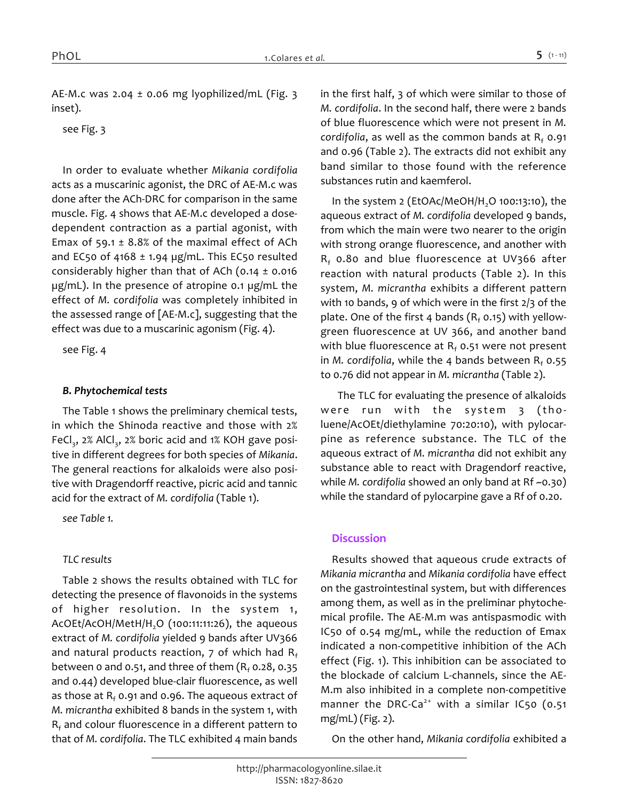*AE-M.c was 2.04 ± 0.06 mg lyophilized/mL (Fig. 3 inset).*

*see Fig. 3*

*In order to evaluate whether Mikania cordifolia acts as a muscarinic agonist, the DRC of AE-M.c was done after the ACh-DRC for comparison in the same muscle. Fig. 4 shows that AE-M.c developed a dosedependent contraction as a partial agonist, with Emax of 59.1 ± 8.8% of the maximal effect of ACh and EC50 of 4168 ± 1.94 µg/mL. This EC50 resulted considerably higher than that of ACh (0.14 ± 0.016 µg/mL). In the presence of atropine 0.1 µg/mL the effect of M. cordifolia was completely inhibited in the assessed range of [AE-M.c], suggesting that the effect was due to a muscarinic agonism (Fig. 4).*

*see Fig. 4*

#### *B. Phytochemical tests*

*The Table 1 shows the preliminary chemical tests, in which the Shinoda reactive and those with 2%*  FeCl<sub>3</sub>, 2% AlCl<sub>3</sub>, 2% boric acid and 1% KOH gave posi*tive in different degrees for both species of Mikania. The general reactions for alkaloids were also positive with Dragendorff reactive, picric acid and tannic acid for the extract of M. cordifolia (Table 1).*

*see Table 1.*

# *TLC results*

*Table 2 shows the results obtained with TLC for detecting the presence of flavonoids in the systems of higher resolution. In the system 1, AcOEt/AcOH/MetH/H2O (100:11:11:26), the aqueous extract of M. cordifolia yielded 9 bands after UV366 and natural products reaction, 7 of which had R<sup>f</sup> between 0 and 0.51, and three of them (R<sup>f</sup> 0.28, 0.35 and 0.44) developed blue-clair fluorescence, as well as those at R<sup>f</sup> 0.91 and 0.96. The aqueous extract of M. micrantha exhibited 8 bands in the system 1, with Rf and colour fluorescence in a different pattern to that of M. cordifolia. The TLC exhibited 4 main bands* 

*in the first half, 3 of which were similar to those of M. cordifolia. In the second half, there were 2 bands of blue fluorescence which were not present in M. cordifolia, as well as the common bands at R<sup>f</sup> 0.91 and 0.96 (Table 2). The extracts did not exhibit any band similar to those found with the reference substances rutin and kaemferol.*

*In the system 2 (EtOAc/MeOH/H<sub>2</sub>O 100:13:10), the aqueous extract of M. cordifolia developed 9 bands, from which the main were two nearer to the origin with strong orange fluorescence, and another with Rf 0.80 and blue fluorescence at UV366 after reaction with natural products (Table 2). In this system, M. micrantha exhibits a different pattern with 10 bands, 9 of which were in the first 2/3 of the plate. One of the first 4 bands (R<sup>f</sup> 0.15) with yellowgreen fluorescence at UV 366, and another band with blue fluorescence at R<sup>f</sup> 0.51 were not present in M. cordifolia, while the 4 bands between R<sup>f</sup> 0.55 to 0.76 did not appear in M. micrantha (Table 2).*

*The TLC for evaluating the presence of alkaloids were run with the system 3 (tholuene/AcOEt/diethylamine 70:20:10), with pylocarpine as reference substance. The TLC of the aqueous extract of M. micrantha did not exhibit any substance able to react with Dragendorf reactive, while M. cordifolia showed an only band at Rf ~0.30) while the standard of pylocarpine gave a Rf of 0.20.*

# *Discussion*

*Results showed that aqueous crude extracts of Mikania micrantha and Mikania cordifolia have effect on the gastrointestinal system, but with differences among them, as well as in the preliminar phytochemical profile. The AE-M.m was antispasmodic with IC50 of 0.54 mg/mL, while the reduction of Emax indicated a non-competitive inhibition of the ACh effect (Fig. 1). This inhibition can be associated to the blockade of calcium L-channels, since the AE-M.m also inhibited in a complete non-competitive manner the DRC-Ca2+ with a similar IC50 (0.51 mg/mL) (Fig. 2).*

*On the other hand, Mikania cordifolia exhibited a*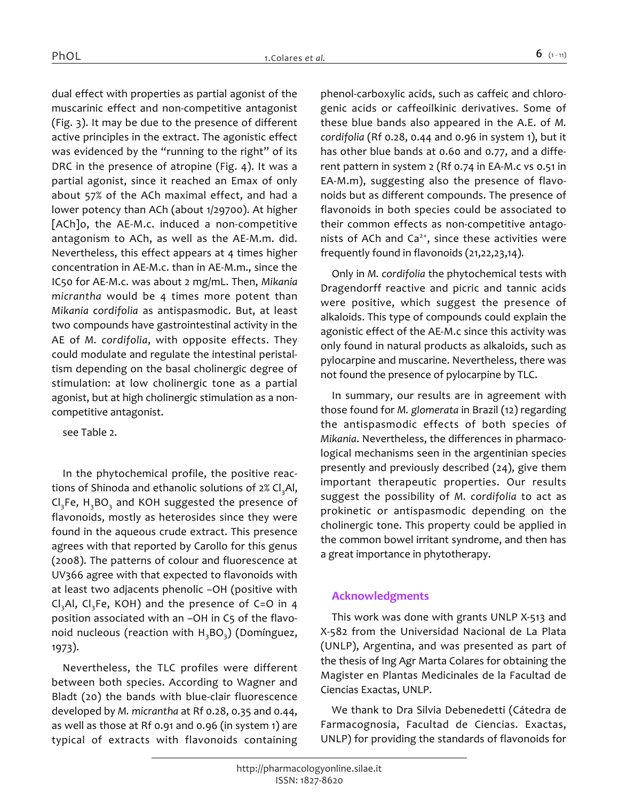*dual effect with properties as partial agonist of the muscarinic effect and non-competitive antagonist (Fig. 3). It may be due to the presence of different active principles in the extract. The agonistic effect was evidenced by the "running to the right" of its DRC in the presence of atropine (Fig. 4). It was a partial agonist, since it reached an Emax of only about 57% of the ACh maximal effect, and had a lower potency than ACh (about 1/29700). At higher [ACh]o, the AE-M.c. induced a non-competitive antagonism to ACh, as well as the AE-M.m. did. Nevertheless, this effect appears at 4 times higher concentration in AE-M.c. than in AE-M.m., since the IC50 for AE-M.c. was about 2 mg/mL. Then, Mikania micrantha would be 4 times more potent than Mikania cordifolia as antispasmodic. But, at least two compounds have gastrointestinal activity in the AE of M. cordifolia, with opposite effects. They could modulate and regulate the intestinal peristaltism depending on the basal cholinergic degree of stimulation: at low cholinergic tone as a partial agonist, but at high cholinergic stimulation as a noncompetitive antagonist.*

*see Table 2.*

*In the phytochemical profile, the positive reactions of Shinoda and ethanolic solutions of 2% Cl3Al, Cl3Fe, H3BO<sup>3</sup> and KOH suggested the presence of flavonoids, mostly as heterosides since they were found in the aqueous crude extract. This presence agrees with that reported by Carollo for this genus (2008). The patterns of colour and fluorescence at UV366 agree with that expected to flavonoids with at least two adjacents phenolic –OH (positive with Cl3Al, Cl3Fe, KOH) and the presence of C=O in 4 position associated with an –OH in C5 of the flavonoid nucleous (reaction with H3BO<sup>3</sup> ) (Domínguez, 1973).*

*Nevertheless, the TLC profiles were different between both species. According to Wagner and Bladt (20) the bands with blue-clair fluorescence developed by M. micrantha at Rf 0.28, 0.35 and 0.44, as well as those at Rf 0.91 and 0.96 (in system 1) are typical of extracts with flavonoids containing*  *phenol-carboxylic acids, such as caffeic and chlorogenic acids or caffeoilkinic derivatives. Some of these blue bands also appeared in the A.E. of M. cordifolia (Rf 0.28, 0.44 and 0.96 in system 1), but it has other blue bands at 0.60 and 0.77, and a different pattern in system 2 (Rf 0.74 in EA-M.c vs 0.51 in EA-M.m), suggesting also the presence of flavonoids but as different compounds. The presence of flavonoids in both species could be associated to their common effects as non-competitive antagonists of ACh and Ca2+, since these activities were frequently found in flavonoids (21,22,23,14).*

*Only in M. cordifolia the phytochemical tests with Dragendorff reactive and picric and tannic acids were positive, which suggest the presence of alkaloids. This type of compounds could explain the agonistic effect of the AE-M.c since this activity was only found in natural products as alkaloids, such as pylocarpine and muscarine. Nevertheless, there was not found the presence of pylocarpine by TLC.*

*In summary, our results are in agreement with those found for M. glomerata in Brazil (12) regarding the antispasmodic effects of both species of Mikania. Nevertheless, the differences in pharmacological mechanisms seen in the argentinian species presently and previously described (24), give them important therapeutic properties. Our results suggest the possibility of M. cordifolia to act as prokinetic or antispasmodic depending on the cholinergic tone. This property could be applied in the common bowel irritant syndrome, and then has a great importance in phytotherapy.*

# *Acknowledgments*

*This work was done with grants UNLP X-513 and X-582 from the Universidad Nacional de La Plata (UNLP), Argentina, and was presented as part of the thesis of Ing Agr Marta Colares for obtaining the Magister en Plantas Medicinales de la Facultad de Ciencias Exactas, UNLP.*

*We thank to Dra Silvia Debenedetti (Cátedra de Farmacognosia, Facultad de Ciencias. Exactas, UNLP) for providing the standards of flavonoids for*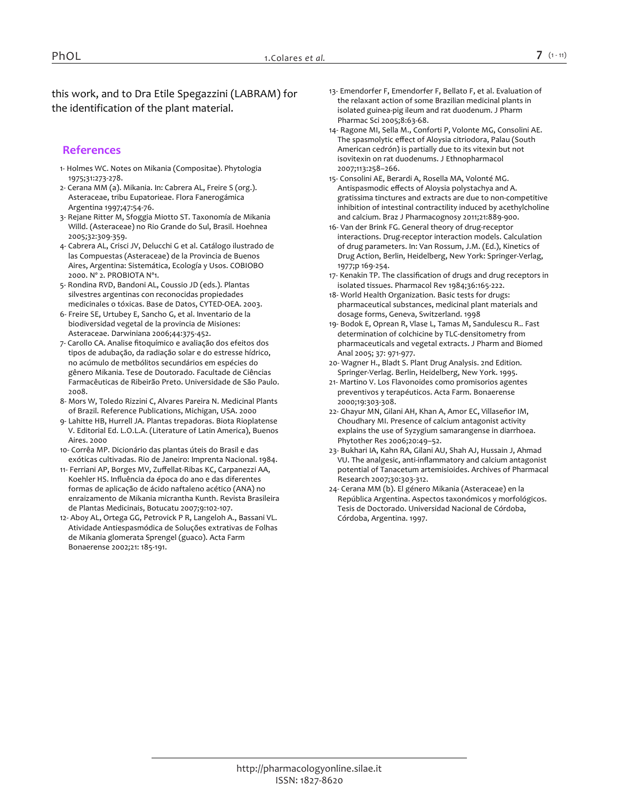*this work, and to Dra Etile Spegazzini (LABRAM) for the identification of the plant material.*

# *References*

- *1- Holmes WC. Notes on Mikania (Compositae). Phytologia 1975;31:273-278.*
- *2- Cerana MM (a). Mikania. In: Cabrera AL, Freire S (org.). Asteraceae, tribu Eupatorieae. Flora Fanerogámica Argentina 1997;47:54-76.*
- *3- Rejane Ritter M, Sfoggia Miotto ST. Taxonomía de Mikania Willd. (Asteraceae) no Rio Grande do Sul, Brasil. Hoehnea 2005;32:309-359.*
- *4- Cabrera AL, Crisci JV, Delucchi G et al. Catálogo ilustrado de las Compuestas (Asteraceae) de la Provincia de Buenos Aires, Argentina: Sistemática, Ecología y Usos. COBIOBO 2000. Nº 2. PROBIOTA Nº1.*
- *5- Rondina RVD, Bandoni AL, Coussio JD (eds.). Plantas silvestres argentinas con reconocidas propiedades medicinales o tóxicas. Base de Datos, CYTED-OEA. 2003.*
- *6- Freire SE, Urtubey E, Sancho G, et al. Inventario de la biodiversidad vegetal de la provincia de Misiones: Asteraceae. Darwiniana 2006;44:375-452.*
- *7- Carollo CA. Analise fitoquímico e avaliação dos efeitos dos tipos de adubação, da radiação solar e do estresse hídrico, no acúmulo de metbólitos secundários em espécies do gênero Mikania. Tese de Doutorado. Facultade de Ciências Farmacêuticas de Ribeirão Preto. Universidade de São Paulo. 2008.*
- *8- Mors W, Toledo Rizzini C, Alvares Pareira N. Medicinal Plants of Brazil. Reference Publications, Michigan, USA. 2000*
- *9- Lahitte HB, Hurrell JA. Plantas trepadoras. Biota Rioplatense V. Editorial Ed. L.O.L.A. (Literature of Latin America), Buenos Aires. 2000*
- *10- Corrêa MP. Dicionário das plantas úteis do Brasil e das exóticas cultivadas. Rio de Janeiro: Imprenta Nacional. 1984.*
- *11- Ferriani AP, Borges MV, Zuffellat-Ribas KC, Carpanezzi AA, Koehler HS. Influência da época do ano e das diferentes formas de aplicação de ácido naftaleno acético (ANA) no enraizamento de Mikania micrantha Kunth. Revista Brasileira de Plantas Medicinais, Botucatu 2007;9:102-107.*
- *12- Aboy AL, Ortega GG, Petrovick P R, Langeloh A., Bassani VL. Atividade Antiespasmódica de Soluções extrativas de Folhas de Mikania glomerata Sprengel (guaco). Acta Farm Bonaerense 2002;21: 185-191.*
- *13- Emendorfer F, Emendorfer F, Bellato F, et al. Evaluation of the relaxant action of some Brazilian medicinal plants in isolated guinea-pig ileum and rat duodenum. J Pharm Pharmac Sci 2005;8:63-68.*
- *14- Ragone MI, Sella M., Conforti P, Volonte MG, Consolini AE. The spasmolytic effect of Aloysia citriodora, Palau (South American cedrón) is partially due to its vitexin but not isovitexin on rat duodenums. J Ethnopharmacol 2007;113:258–266.*
- *15- Consolini AE, Berardi A, Rosella MA, Volonté MG. Antispasmodic effects of Aloysia polystachya and A. gratissima tinctures and extracts are due to non-competitive inhibition of intestinal contractility induced by acethylcholine and calcium. Braz J Pharmacognosy 2011;21:889-900.*
- *16- Van der Brink FG. General theory of drug-receptor interactions. Drug-receptor interaction models. Calculation of drug parameters. In: Van Rossum, J.M. (Ed.), Kinetics of Drug Action, Berlin, Heidelberg, New York: Springer-Verlag, 1977;p 169-254.*
- *17- Kenakin TP. The classification of drugs and drug receptors in isolated tissues. Pharmacol Rev 1984;36:165-222.*
- *18- World Health Organization. Basic tests for drugs: pharmaceutical substances, medicinal plant materials and dosage forms, Geneva, Switzerland. 1998*
- *19- Bodok E, Oprean R, Vlase L, Tamas M, Sandulescu R.. Fast determination of colchicine by TLC-densitometry from pharmaceuticals and vegetal extracts. J Pharm and Biomed Anal 2005; 37: 971-977.*
- *20- Wagner H., Bladt S. Plant Drug Analysis. 2nd Edition. Springer-Verlag. Berlin, Heidelberg, New York. 1995.*
- *21- Martino V. Los Flavonoides como promisorios agentes preventivos y terapéuticos. Acta Farm. Bonaerense 2000;19:303-308.*
- *22- Ghayur MN, Gilani AH, Khan A, Amor EC, Villaseñor IM, Choudhary MI. Presence of calcium antagonist activity explains the use of Syzygium samarangense in diarrhoea. Phytother Res 2006;20:49–52.*
- *23- Bukhari IA, Kahn RA, Gilani AU, Shah AJ, Hussain J, Ahmad VU. The analgesic, anti-inflammatory and calcium antagonist potential of Tanacetum artemisioides. Archives of Pharmacal Research 2007;30:303-312.*
- *24- Cerana MM (b). El género Mikania (Asteraceae) en la República Argentina. Aspectos taxonómicos y morfológicos. Tesis de Doctorado. Universidad Nacional de Córdoba, Córdoba, Argentina. 1997.*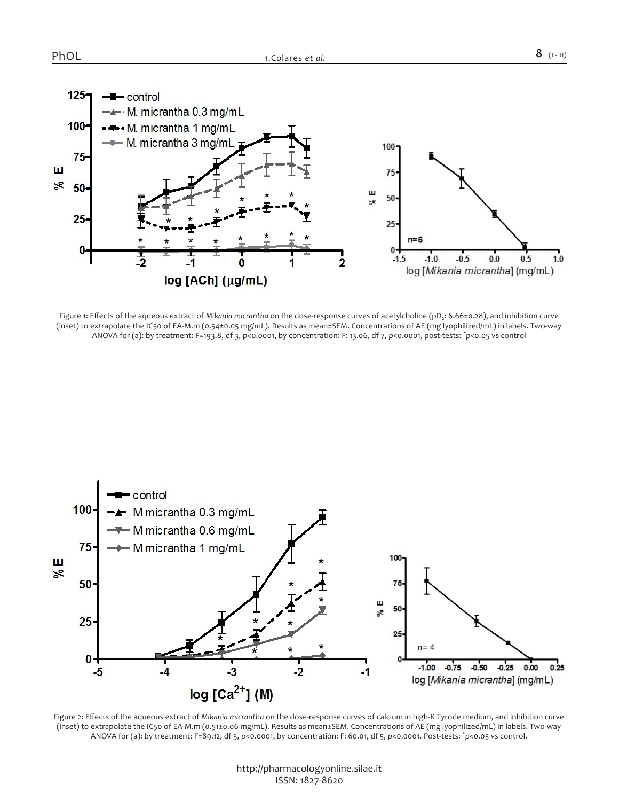

*Figure 1: Effects of the aqueous extract of Mikania micrantha on the dose-response curves of acetylcholine (pD<sup>2</sup> : 6.66±0.28), and inhibition curve (inset) to extrapolate the IC50 of EA-M.m (0.54±0.05 mg/mL). Results as mean±SEM. Concentrations of AE (mg lyophilized/mL) in labels. Two-way ANOVA for (a): by treatment: F=193.8, df 3, p<0.0001, by concentration: F: 13.06, df 7, p<0.0001, post-tests: \* p<0.05 vs control*



Figure 2: Effects of the aqueous extract of *Mikania micrantha* on the dose-response curves of calcium in high-K Tyrode medium, and inhibition curve *(inset) to extrapolate the IC50 of EA-M.m (0.51±0.06 mg/mL). Results as mean±SEM. Concentrations of AE (mg lyophilized/mL) in labels. Two-way ANOVA for (a): by treatment: F=89.12, df 3, p<0.0001, by concentration: F: 60.01, df 5, p<0.0001. Post-tests: \* p<0.05 vs control.*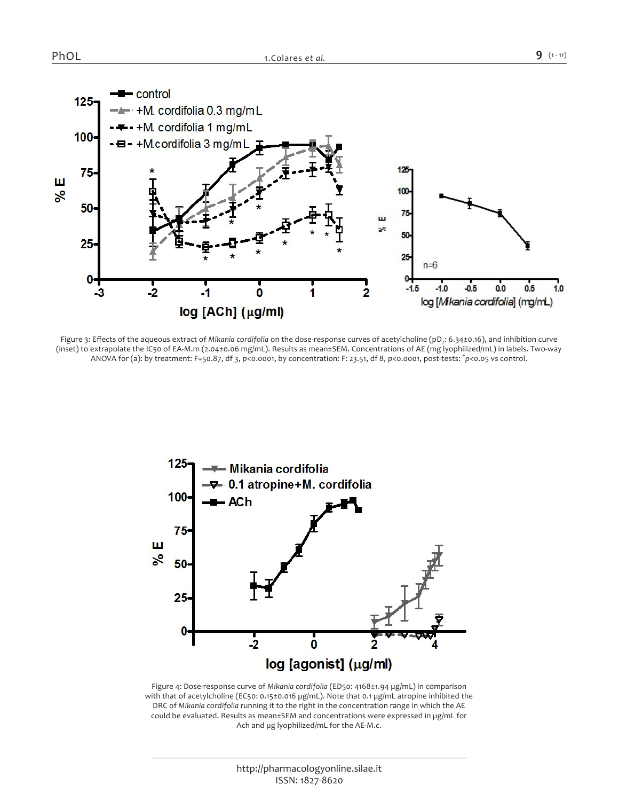

*Figure 3: Effects of the aqueous extract of Mikania cordifolia on the dose-response curves of acetylcholine (pD<sup>2</sup> : 6.34±0.16), and inhibition curve (inset) to extrapolate the IC50 of EA-M.m (2.04±0.06 mg/mL). Results as mean±SEM. Concentrations of AE (mg lyophilized/mL) in labels. Two-way ANOVA for (a): by treatment: F=50.87, df 3, p<0.0001, by concentration: F: 23.51, df 8, p<0.0001, post-tests: \* p<0.05 vs control.*



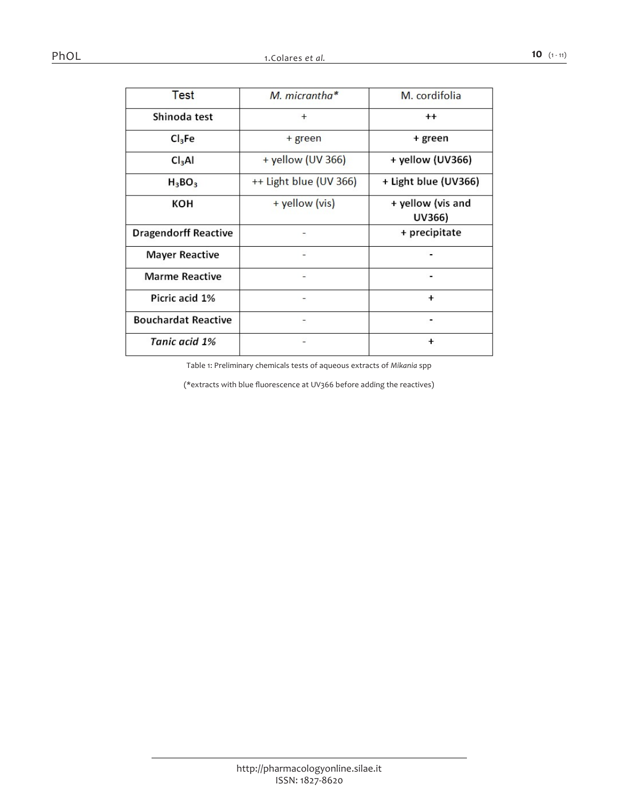| <b>Test</b>                 | M. micrantha*          | M. cordifolia               |  |
|-----------------------------|------------------------|-----------------------------|--|
| Shinoda test                | $^{+}$                 | $^{\mathrm{+}}$             |  |
| Cl <sub>3</sub> Fe          | + green                | + green                     |  |
| Cl <sub>3</sub> Al          | + yellow (UV 366)      | + yellow (UV366)            |  |
| $H_3BO_3$                   | ++ Light blue (UV 366) | + Light blue (UV366)        |  |
| кон                         | + yellow (vis)         | + yellow (vis and<br>UV366) |  |
| <b>Dragendorff Reactive</b> |                        | + precipitate               |  |
| <b>Mayer Reactive</b>       |                        |                             |  |
| <b>Marme Reactive</b>       |                        |                             |  |
| Picric acid 1%              |                        | <sup>+</sup>                |  |
| <b>Bouchardat Reactive</b>  |                        |                             |  |
| Tanic acid 1%               |                        | ٠                           |  |

*Table 1: Preliminary chemicals tests of aqueous extracts of Mikania spp*

*(\*extracts with blue fluorescence at UV366 before adding the reactives)*